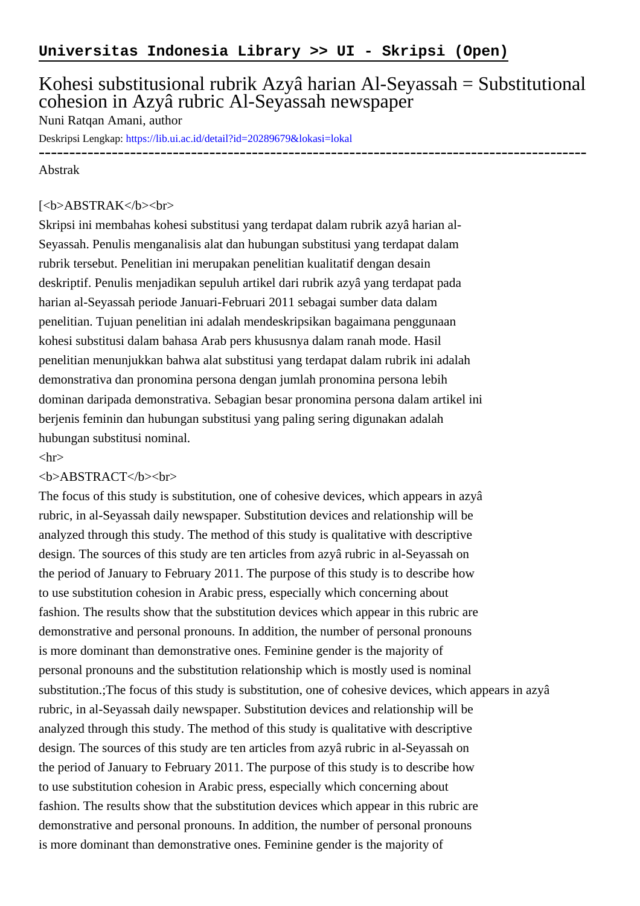# Kohesi substitusional rubrik Azyâ harian Al-Seyassah = Substitutional cohesion in Azyâ rubric Al-Seyassah newspaper

# Nuni Ratqan Amani, author

Deskripsi Lengkap:<https://lib.ui.ac.id/detail?id=20289679&lokasi=lokal>

------------------------------------------------------------------------------------------

#### Abstrak

# [<b>ABSTRAK</b><br/>

Skripsi ini membahas kohesi substitusi yang terdapat dalam rubrik azyâ harian al-Seyassah. Penulis menganalisis alat dan hubungan substitusi yang terdapat dalam rubrik tersebut. Penelitian ini merupakan penelitian kualitatif dengan desain deskriptif. Penulis menjadikan sepuluh artikel dari rubrik azyâ yang terdapat pada harian al-Seyassah periode Januari-Februari 2011 sebagai sumber data dalam penelitian. Tujuan penelitian ini adalah mendeskripsikan bagaimana penggunaan kohesi substitusi dalam bahasa Arab pers khususnya dalam ranah mode. Hasil penelitian menunjukkan bahwa alat substitusi yang terdapat dalam rubrik ini adalah demonstrativa dan pronomina persona dengan jumlah pronomina persona lebih dominan daripada demonstrativa. Sebagian besar pronomina persona dalam artikel ini berjenis feminin dan hubungan substitusi yang paling sering digunakan adalah hubungan substitusi nominal.

#### $\langle$ hr $>$

### <b>ABSTRACT</b><br>

The focus of this study is substitution, one of cohesive devices, which appears in azyâ rubric, in al-Seyassah daily newspaper. Substitution devices and relationship will be analyzed through this study. The method of this study is qualitative with descriptive design. The sources of this study are ten articles from azyâ rubric in al-Seyassah on the period of January to February 2011. The purpose of this study is to describe how to use substitution cohesion in Arabic press, especially which concerning about fashion. The results show that the substitution devices which appear in this rubric are demonstrative and personal pronouns. In addition, the number of personal pronouns is more dominant than demonstrative ones. Feminine gender is the majority of personal pronouns and the substitution relationship which is mostly used is nominal substitution.;The focus of this study is substitution, one of cohesive devices, which appears in azyâ rubric, in al-Seyassah daily newspaper. Substitution devices and relationship will be analyzed through this study. The method of this study is qualitative with descriptive design. The sources of this study are ten articles from azyâ rubric in al-Seyassah on the period of January to February 2011. The purpose of this study is to describe how to use substitution cohesion in Arabic press, especially which concerning about fashion. The results show that the substitution devices which appear in this rubric are demonstrative and personal pronouns. In addition, the number of personal pronouns is more dominant than demonstrative ones. Feminine gender is the majority of